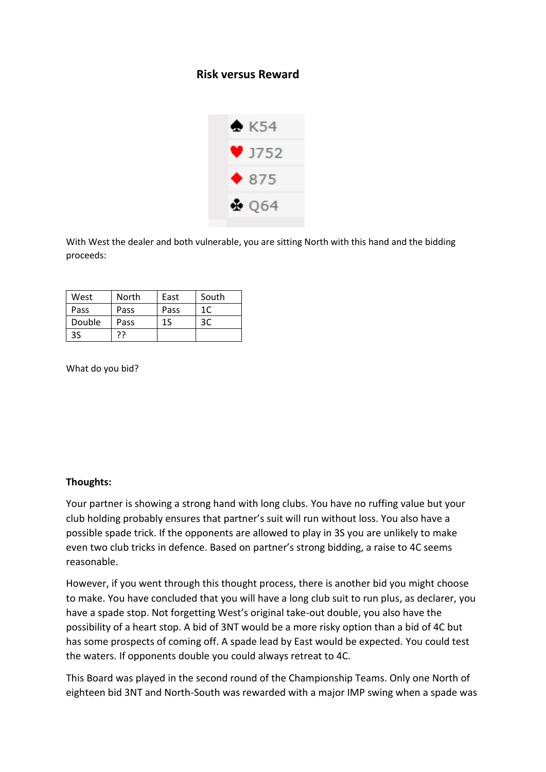## **Risk versus Reward**



With West the dealer and both vulnerable, you are sitting North with this hand and the bidding proceeds:

| West   | North | East | South |
|--------|-------|------|-------|
| Pass   | Pass  | Pass | 1C    |
| Double | Pass  | 15   | 3C    |
| 3S     | רך    |      |       |

What do you bid?

## **Thoughts:**

Your partner is showing a strong hand with long clubs. You have no ruffing value but your club holding probably ensures that partner's suit will run without loss. You also have a possible spade trick. If the opponents are allowed to play in 3S you are unlikely to make even two club tricks in defence. Based on partner's strong bidding, a raise to 4C seems reasonable.

However, if you went through this thought process, there is another bid you might choose to make. You have concluded that you will have a long club suit to run plus, as declarer, you have a spade stop. Not forgetting West's original take-out double, you also have the possibility of a heart stop. A bid of 3NT would be a more risky option than a bid of 4C but has some prospects of coming off. A spade lead by East would be expected. You could test the waters. If opponents double you could always retreat to 4C.

This Board was played in the second round of the Championship Teams. Only one North of eighteen bid 3NT and North-South was rewarded with a major IMP swing when a spade was